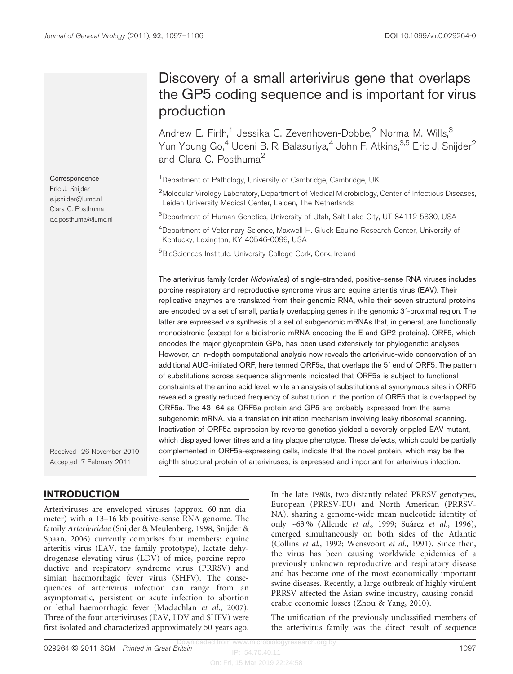# Discovery of a small arterivirus gene that overlaps the GP5 coding sequence and is important for virus production

Andrew E. Firth,<sup>1</sup> Jessika C. Zevenhoven-Dobbe,<sup>2</sup> Norma M. Wills,<sup>3</sup> Yun Young Go,<sup>4</sup> Udeni B. R. Balasuriya,<sup>4</sup> John F. Atkins,<sup>3,5</sup> Eric J. Snijder<sup>2</sup> and Clara C. Posthuma<sup>2</sup>

<sup>1</sup>Department of Pathology, University of Cambridge, Cambridge, UK

 $^2$ Molecular Virology Laboratory, Department of Medical Microbiology, Center of Infectious Diseases, Leiden University Medical Center, Leiden, The Netherlands

 $^3$ Department of Human Genetics, University of Utah, Salt Lake City, UT 84112-5330, USA

4 Department of Veterinary Science, Maxwell H. Gluck Equine Research Center, University of Kentucky, Lexington, KY 40546-0099, USA

<sup>5</sup>BioSciences Institute, University College Cork, Cork, Ireland

The arterivirus family (order Nidovirales) of single-stranded, positive-sense RNA viruses includes porcine respiratory and reproductive syndrome virus and equine arteritis virus (EAV). Their replicative enzymes are translated from their genomic RNA, while their seven structural proteins are encoded by a set of small, partially overlapping genes in the genomic 3'-proximal region. The latter are expressed via synthesis of a set of subgenomic mRNAs that, in general, are functionally monocistronic (except for a bicistronic mRNA encoding the E and GP2 proteins). ORF5, which encodes the major glycoprotein GP5, has been used extensively for phylogenetic analyses. However, an in-depth computational analysis now reveals the arterivirus-wide conservation of an additional AUG-initiated ORF, here termed ORF5a, that overlaps the 5' end of ORF5. The pattern of substitutions across sequence alignments indicated that ORF5a is subject to functional constraints at the amino acid level, while an analysis of substitutions at synonymous sites in ORF5 revealed a greatly reduced frequency of substitution in the portion of ORF5 that is overlapped by ORF5a. The 43–64 aa ORF5a protein and GP5 are probably expressed from the same subgenomic mRNA, via a translation initiation mechanism involving leaky ribosomal scanning. Inactivation of ORF5a expression by reverse genetics yielded a severely crippled EAV mutant, which displayed lower titres and a tiny plaque phenotype. These defects, which could be partially complemented in ORF5a-expressing cells, indicate that the novel protein, which may be the eighth structural protein of arteriviruses, is expressed and important for arterivirus infection.

Received 26 November 2010 Accepted 7 February 2011

# INTRODUCTION

Arteriviruses are enveloped viruses (approx. 60 nm diameter) with a 13–16 kb positive-sense RNA genome. The family Arteriviridae [\(Snijder & Meulenberg, 1998](#page-9-0); [Snijder &](#page-9-0) [Spaan, 2006](#page-9-0)) currently comprises four members: equine arteritis virus (EAV, the family prototype), lactate dehydrogenase-elevating virus (LDV) of mice, porcine reproductive and respiratory syndrome virus (PRRSV) and simian haemorrhagic fever virus (SHFV). The consequences of arterivirus infection can range from an asymptomatic, persistent or acute infection to abortion or lethal haemorrhagic fever [\(Maclachlan](#page-8-0) et al., 2007). Three of the four arteriviruses (EAV, LDV and SHFV) were first isolated and characterized approximately 50 years ago.

In the late 1980s, two distantly related PRRSV genotypes, European (PRRSV-EU) and North American (PRRSV-NA), sharing a genome-wide mean nucleotide identity of only ~63 % ([Allende](#page-7-0) et al., 1999; Suárez et al.[, 1996\)](#page-9-0), emerged simultaneously on both sides of the Atlantic ([Collins](#page-8-0) et al., 1992; [Wensvoort](#page-9-0) et al., 1991). Since then, the virus has been causing worldwide epidemics of a previously unknown reproductive and respiratory disease and has become one of the most economically important swine diseases. Recently, a large outbreak of highly virulent PRRSV affected the Asian swine industry, causing considerable economic losses [\(Zhou & Yang, 2010\)](#page-9-0).

The unification of the previously unclassified members of the arterivirus family was the direct result of sequence

Eric J. Snijder e.j.snijder@lumc.nl Clara C. Posthuma c.c.posthuma@lumc.nl

**Correspondence**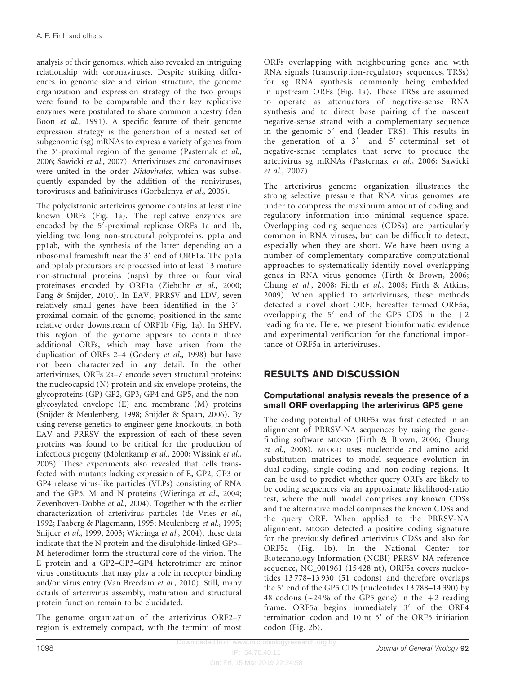analysis of their genomes, which also revealed an intriguing relationship with coronaviruses. Despite striking differences in genome size and virion structure, the genome organization and expression strategy of the two groups were found to be comparable and their key replicative enzymes were postulated to share common ancestry ([den](#page-8-0) Boon et al.[, 1991\)](#page-8-0). A specific feature of their genome expression strategy is the generation of a nested set of subgenomic (sg) mRNAs to express a variety of genes from the  $3'$ -proximal region of the genome [\(Pasternak](#page-8-0) et al., [2006](#page-8-0); [Sawicki](#page-8-0) et al., 2007). Arteriviruses and coronaviruses were united in the order Nidovirales, which was subsequently expanded by the addition of the roniviruses, toroviruses and bafiniviruses ([Gorbalenya](#page-8-0) et al., 2006).

The polycistronic arterivirus genome contains at least nine known ORFs ([Fig. 1a\)](#page-2-0). The replicative enzymes are encoded by the 5'-proximal replicase ORFs 1a and 1b, yielding two long non-structural polyproteins, pp1a and pp1ab, with the synthesis of the latter depending on a ribosomal frameshift near the 3' end of ORF1a. The pp1a and pp1ab precursors are processed into at least 13 mature non-structural proteins (nsps) by three or four viral proteinases encoded by ORF1a [\(Ziebuhr](#page-9-0) et al., 2000; [Fang & Snijder, 2010](#page-8-0)). In EAV, PRRSV and LDV, seven relatively small genes have been identified in the 3'proximal domain of the genome, positioned in the same relative order downstream of ORF1b [\(Fig. 1a](#page-2-0)). In SHFV, this region of the genome appears to contain three additional ORFs, which may have arisen from the duplication of ORFs 2–4 [\(Godeny](#page-8-0) et al., 1998) but have not been characterized in any detail. In the other arteriviruses, ORFs 2a–7 encode seven structural proteins: the nucleocapsid (N) protein and six envelope proteins, the glycoproteins (GP) GP2, GP3, GP4 and GP5, and the nonglycosylated envelope (E) and membrane (M) proteins [\(Snijder & Meulenberg, 1998](#page-9-0); [Snijder & Spaan, 2006](#page-9-0)). By using reverse genetics to engineer gene knockouts, in both EAV and PRRSV the expression of each of these seven proteins was found to be critical for the production of infectious progeny ([Molenkamp](#page-8-0) et al., 2000; [Wissink](#page-9-0) et al., [2005](#page-9-0)). These experiments also revealed that cells transfected with mutants lacking expression of E, GP2, GP3 or GP4 release virus-like particles (VLPs) consisting of RNA and the GP5, M and N proteins [\(Wieringa](#page-9-0) et al., 2004; [Zevenhoven-Dobbe](#page-9-0) et al., 2004). Together with the earlier characterization of arterivirus particles [\(de Vries](#page-8-0) et al., [1992](#page-8-0); [Faaberg & Plagemann, 1995; Meulenberg](#page-8-0) et al., 1995; [Snijder](#page-9-0) et al., 1999, [2003; Wieringa](#page-9-0) et al., 2004), these data indicate that the N protein and the disulphide-linked GP5– M heterodimer form the structural core of the virion. The E protein and a GP2–GP3–GP4 heterotrimer are minor virus constituents that may play a role in receptor binding and/or virus entry ([Van Breedam](#page-9-0) et al., 2010). Still, many details of arterivirus assembly, maturation and structural protein function remain to be elucidated.

The genome organization of the arterivirus ORF2–7 region is extremely compact, with the termini of most

ORFs overlapping with neighbouring genes and with RNA signals (transcription-regulatory sequences, TRSs) for sg RNA synthesis commonly being embedded in upstream ORFs [\(Fig. 1a](#page-2-0)). These TRSs are assumed to operate as attenuators of negative-sense RNA synthesis and to direct base pairing of the nascent negative-sense strand with a complementary sequence in the genomic 5' end (leader TRS). This results in the generation of a  $3'$ - and  $5'$ -coterminal set of negative-sense templates that serve to produce the arterivirus sg mRNAs ([Pasternak](#page-8-0) et al., 2006; [Sawicki](#page-8-0) et al.[, 2007](#page-8-0)).

The arterivirus genome organization illustrates the strong selective pressure that RNA virus genomes are under to compress the maximum amount of coding and regulatory information into minimal sequence space. Overlapping coding sequences (CDSs) are particularly common in RNA viruses, but can be difficult to detect, especially when they are short. We have been using a number of complementary comparative computational approaches to systematically identify novel overlapping genes in RNA virus genomes [\(Firth & Brown, 2006;](#page-8-0) [Chung](#page-8-0) et al., 2008; Firth et al.[, 2008](#page-8-0); [Firth & Atkins,](#page-8-0) [2009](#page-8-0)). When applied to arteriviruses, these methods detected a novel short ORF, hereafter termed ORF5a, overlapping the  $5'$  end of the GP5 CDS in the  $+2$ reading frame. Here, we present bioinformatic evidence and experimental verification for the functional importance of ORF5a in arteriviruses.

## RESULTS AND DISCUSSION

#### Computational analysis reveals the presence of a small ORF overlapping the arterivirus GP5 gene

The coding potential of ORF5a was first detected in an alignment of PRRSV-NA sequences by using the genefinding software MLOGD ([Firth & Brown, 2006](#page-8-0); [Chung](#page-8-0) et al.[, 2008](#page-8-0)). MLOGD uses nucleotide and amino acid substitution matrices to model sequence evolution in dual-coding, single-coding and non-coding regions. It can be used to predict whether query ORFs are likely to be coding sequences via an approximate likelihood-ratio test, where the null model comprises any known CDSs and the alternative model comprises the known CDSs and the query ORF. When applied to the PRRSV-NA alignment, MLOGD detected a positive coding signature for the previously defined arterivirus CDSs and also for ORF5a ([Fig. 1b\)](#page-2-0). In the National Center for Biotechnology Information (NCBI) PRRSV-NA reference sequence, NC\_001961 (15 428 nt), ORF5a covers nucleotides 13 778–13 930 (51 codons) and therefore overlaps the  $5'$  end of the GP5 CDS (nucleotides  $13788-14390$ ) by 48 codons ( $\sim$ 24% of the GP5 gene) in the  $+2$  reading frame. ORF5a begins immediately 3' of the ORF4 termination codon and 10 nt 5' of the ORF5 initiation codon [\(Fig. 2b](#page-3-0)).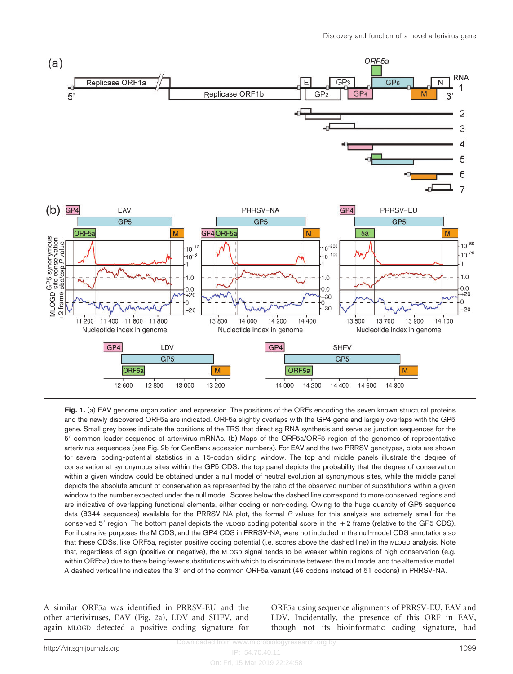<span id="page-2-0"></span>

Fig. 1. (a) EAV genome organization and expression. The positions of the ORFs encoding the seven known structural proteins and the newly discovered ORF5a are indicated. ORF5a slightly overlaps with the GP4 gene and largely overlaps with the GP5 gene. Small grey boxes indicate the positions of the TRS that direct sg RNA synthesis and serve as junction sequences for the 5' common leader sequence of arterivirus mRNAs. (b) Maps of the ORF5a/ORF5 region of the genomes of representative arterivirus sequences (see [Fig. 2b](#page-3-0) for GenBank accession numbers). For EAV and the two PRRSV genotypes, plots are shown for several coding-potential statistics in a 15-codon sliding window. The top and middle panels illustrate the degree of conservation at synonymous sites within the GP5 CDS: the top panel depicts the probability that the degree of conservation within a given window could be obtained under a null model of neutral evolution at synonymous sites, while the middle panel depicts the absolute amount of conservation as represented by the ratio of the observed number of substitutions within a given window to the number expected under the null model. Scores below the dashed line correspond to more conserved regions and are indicative of overlapping functional elements, either coding or non-coding. Owing to the huge quantity of GP5 sequence data (8344 sequences) available for the PRRSV-NA plot, the formal P values for this analysis are extremely small for the conserved 5' region. The bottom panel depicts the MLOGD coding potential score in the  $+2$  frame (relative to the GP5 CDS). For illustrative purposes the M CDS, and the GP4 CDS in PRRSV-NA, were not included in the null-model CDS annotations so that these CDSs, like ORF5a, register positive coding potential (i.e. scores above the dashed line) in the MLOGD analysis. Note that, regardless of sign (positive or negative), the MLOGD signal tends to be weaker within regions of high conservation (e.g. within ORF5a) due to there being fewer substitutions with which to discriminate between the null model and the alternative model. A dashed vertical line indicates the 3' end of the common ORF5a variant (46 codons instead of 51 codons) in PRRSV-NA.

A similar ORF5a was identified in PRRSV-EU and the other arteriviruses, EAV ([Fig. 2a](#page-3-0)), LDV and SHFV, and again MLOGD detected a positive coding signature for

ORF5a using sequence alignments of PRRSV-EU, EAV and LDV. Incidentally, the presence of this ORF in EAV, though not its bioinformatic coding signature, had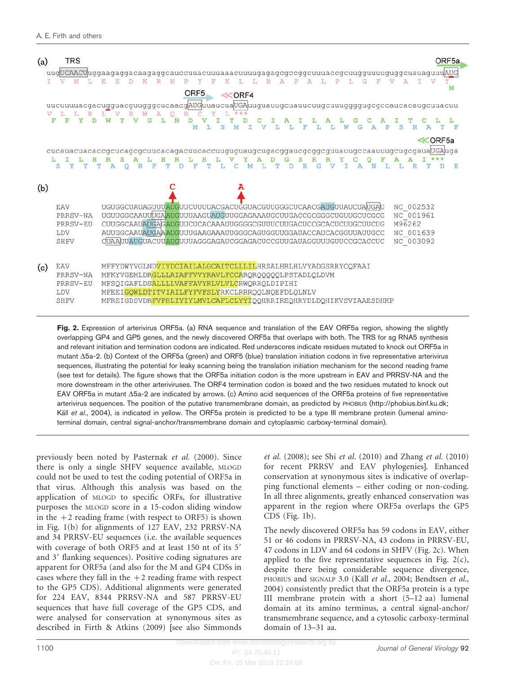<span id="page-3-0"></span>

| (a) | <b>TRS</b>                                               | uugUCAACUuggaagaggacaagaggcauccuuacuuuaaacuuuugagagcgccggcuuuaccgcuugguuuuguggcuauaguuuAUG<br>ORF <sub>5</sub><br><<<<<<<<<<br>uucuuuuacgacugguacguugggcucaacgAUGuuaucuaUGAuuguauugcuauucuugcuuuggggugcgccaucacaugcuuacuu<br>D                                                                                                                                                                              | ORF <sub>5a</sub><br>М |
|-----|----------------------------------------------------------|-------------------------------------------------------------------------------------------------------------------------------------------------------------------------------------------------------------------------------------------------------------------------------------------------------------------------------------------------------------------------------------------------------------|------------------------|
|     | s<br>v                                                   | <b>≪ORF5a</b><br>cucauacuacaccgcucagcgcuucacagacuucaccuuguguaugcugacggaucgcggcguuauugccaauuugcugcgaua UGA uga<br>D                                                                                                                                                                                                                                                                                          | E                      |
| (b) | EAV<br>PRRSV-NA<br>PRRSV-EU<br><b>LDV</b><br><b>SHFV</b> | UGUGGCUAUAGUUUAUGUUCUUUUACGACUGGUACGUUGGGCUCAACGAUGUUAUCUAUGAU<br>NC 002532<br>UGUUGGCAAUUUGAAUGUUUAAGUAUGUUGGAGAAAUGCUUGACCGCGGGCUGUUGCUCGCG<br>NC 001961<br>M96262<br>CUUGGCAAUAUGAGAUGUUCUCACAAAUUGGGGCGUUUCUUGACUCCGCACUCUUGCUUCUG<br>AUUGGCAAUAUGAAAUGUUUGAAGAAAUUGGGCAGUGGUUGGAUACCAUCACGGUUAUUGCC<br>NC 001639<br>NC 003092<br><b>CUAAUUAUGUACUUAUGUUUAGGGAGAUCGGAGACUCCGUUGAUAGGUUUGUUCCGCACCUC</b> |                        |
| (c) | EAV<br>PRRSV-NA<br>PRRSV-EU<br><b>LDV</b><br>SHFV        | MFFYDWYVGLNDVIYDCIAILALGCAITCLLLILHRSALHRLHLVYADGSRRYCQFAAI<br>MFKYVGEMLDRGLLLAIAFFVVYRAVLFCCAROROOOOOLPSTADLQLDVM<br>MFSQIGAFLDSALLLLVAFFAVYRLVLVLCRWQRRQLDIPIHI<br>MFEEIGQWLDTITVIAILFYFVFSLYRKCLRRRQQLNQEFDLQLNLV<br>MFREIGDSVDRFVPHLIYIYLMVLCAFLCLYYIQQHRRIREQHRYDLDQHIKVSVIAAESDHKP                                                                                                                    |                        |

Fig. 2. Expression of arterivirus ORF5a. (a) RNA sequence and translation of the EAV ORF5a region, showing the slightly overlapping GP4 and GP5 genes, and the newly discovered ORF5a that overlaps with both. The TRS for sg RNA5 synthesis and relevant initiation and termination codons are indicated. Red underscores indicate residues mutated to knock out ORF5a in mutant  $\Delta$ 5a-2. (b) Context of the ORF5a (green) and ORF5 (blue) translation initiation codons in five representative arterivirus sequences, illustrating the potential for leaky scanning being the translation initiation mechanism for the second reading frame (see text for details). The figure shows that the ORF5a initiation codon is the more upstream in EAV and PRRSV-NA and the more downstream in the other arteriviruses. The ORF4 termination codon is boxed and the two residues mutated to knock out EAV ORF5a in mutant  $\Delta$ 5a-2 are indicated by arrows. (c) Amino acid sequences of the ORF5a proteins of five representative arterivirus sequences. The position of the putative transmembrane domain, as predicted by PHOBIUS (http://phobius.binf.ku.dk; Käll et al.[, 2004](#page-8-0)), is indicated in yellow. The ORF5a protein is predicted to be a type III membrane protein (lumenal aminoterminal domain, central signal-anchor/transmembrane domain and cytoplasmic carboxy-terminal domain).

previously been noted by [Pasternak](#page-8-0) et al. (2000). Since there is only a single SHFV sequence available, MLOGD could not be used to test the coding potential of ORF5a in that virus. Although this analysis was based on the application of MLOGD to specific ORFs, for illustrative purposes the MLOGD score in a 15-codon sliding window in the  $+2$  reading frame (with respect to ORF5) is shown in [Fig. 1\(b\)](#page-2-0) for alignments of 127 EAV, 232 PRRSV-NA and 34 PRRSV-EU sequences (i.e. the available sequences with coverage of both ORF5 and at least 150 nt of its 5' and 3' flanking sequences). Positive coding signatures are apparent for ORF5a (and also for the M and GP4 CDSs in cases where they fall in the  $+2$  reading frame with respect to the GP5 CDS). Additional alignments were generated for 224 EAV, 8344 PRRSV-NA and 587 PRRSV-EU sequences that have full coverage of the GP5 CDS, and were analysed for conservation at synonymous sites as described in [Firth & Atkins \(2009\)](#page-8-0) [see also [Simmonds](#page-9-0)

et al. [\(2008\)](#page-9-0); see Shi et al. [\(2010\)](#page-8-0) and Zhang et al. [\(2010\)](#page-9-0) for recent PRRSV and EAV phylogenies]. Enhanced conservation at synonymous sites is indicative of overlapping functional elements – either coding or non-coding. In all three alignments, greatly enhanced conservation was apparent in the region where ORF5a overlaps the GP5 CDS [\(Fig. 1b\)](#page-2-0).

The newly discovered ORF5a has 59 codons in EAV, either 51 or 46 codons in PRRSV-NA, 43 codons in PRRSV-EU, 47 codons in LDV and 64 codons in SHFV (Fig. 2c). When applied to the five representative sequences in Fig.  $2(c)$ , despite there being considerable sequence divergence, PHOBIUS and SIGNALP 3.0 (Käll et al.[, 2004](#page-8-0); [Bendtsen](#page-8-0) et al., [2004](#page-8-0)) consistently predict that the ORF5a protein is a type III membrane protein with a short (5–12 aa) lumenal domain at its amino terminus, a central signal-anchor/ transmembrane sequence, and a cytosolic carboxy-terminal domain of 13–31 aa.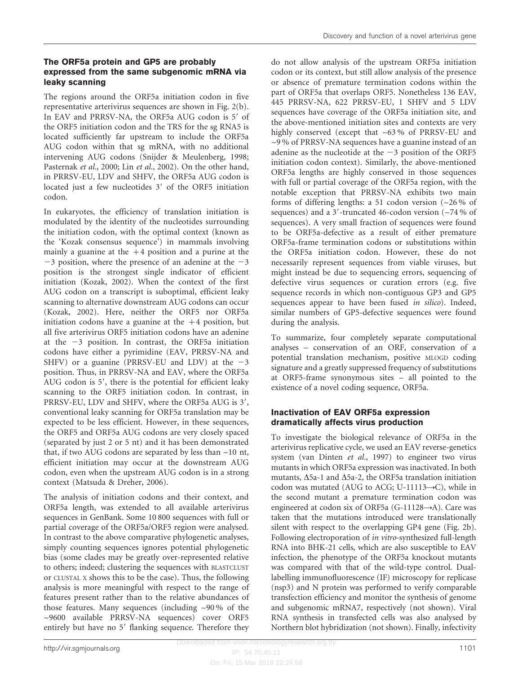#### The ORF5a protein and GP5 are probably expressed from the same subgenomic mRNA via leaky scanning

The regions around the ORF5a initiation codon in five representative arterivirus sequences are shown in [Fig. 2\(b\).](#page-3-0) In EAV and PRRSV-NA, the ORF5a AUG codon is 5' of the ORF5 initiation codon and the TRS for the sg RNA5 is located sufficiently far upstream to include the ORF5a AUG codon within that sg mRNA, with no additional intervening AUG codons ([Snijder & Meulenberg, 1998;](#page-9-0) [Pasternak](#page-8-0) et al., 2000; Lin et al.[, 2002\)](#page-8-0). On the other hand, in PRRSV-EU, LDV and SHFV, the ORF5a AUG codon is located just a few nucleotides 3' of the ORF5 initiation codon.

In eukaryotes, the efficiency of translation initiation is modulated by the identity of the nucleotides surrounding the initiation codon, with the optimal context (known as the 'Kozak consensus sequence') in mammals involving mainly a guanine at the  $+4$  position and a purine at the  $-3$  position, where the presence of an adenine at the  $-3$ position is the strongest single indicator of efficient initiation [\(Kozak, 2002\)](#page-8-0). When the context of the first AUG codon on a transcript is suboptimal, efficient leaky scanning to alternative downstream AUG codons can occur ([Kozak, 2002\)](#page-8-0). Here, neither the ORF5 nor ORF5a initiation codons have a guanine at the  $+4$  position, but all five arterivirus ORF5 initiation codons have an adenine at the  $-3$  position. In contrast, the ORF5a initiation codons have either a pyrimidine (EAV, PRRSV-NA and SHFV) or a guanine (PRRSV-EU and LDV) at the  $-3$ position. Thus, in PRRSV-NA and EAV, where the ORF5a AUG codon is 5', there is the potential for efficient leaky scanning to the ORF5 initiation codon. In contrast, in PRRSV-EU, LDV and SHFV, where the ORF5a AUG is 3', conventional leaky scanning for ORF5a translation may be expected to be less efficient. However, in these sequences, the ORF5 and ORF5a AUG codons are very closely spaced (separated by just 2 or 5 nt) and it has been demonstrated that, if two AUG codons are separated by less than ~10 nt, efficient initiation may occur at the downstream AUG codon, even when the upstream AUG codon is in a strong context ([Matsuda & Dreher, 2006](#page-8-0)).

The analysis of initiation codons and their context, and ORF5a length, was extended to all available arterivirus sequences in GenBank. Some 10 800 sequences with full or partial coverage of the ORF5a/ORF5 region were analysed. In contrast to the above comparative phylogenetic analyses, simply counting sequences ignores potential phylogenetic bias (some clades may be greatly over-represented relative to others; indeed; clustering the sequences with BLASTCLUST or CLUSTAL X shows this to be the case). Thus, the following analysis is more meaningful with respect to the range of features present rather than to the relative abundances of those features. Many sequences (including ~90 % of the ~9600 available PRRSV-NA sequences) cover ORF5 entirely but have no 5' flanking sequence. Therefore they

do not allow analysis of the upstream ORF5a initiation codon or its context, but still allow analysis of the presence or absence of premature termination codons within the part of ORF5a that overlaps ORF5. Nonetheless 136 EAV, 445 PRRSV-NA, 622 PRRSV-EU, 1 SHFV and 5 LDV sequences have coverage of the ORF5a initiation site, and the above-mentioned initiation sites and contexts are very highly conserved (except that ~63% of PRRSV-EU and ~9 % of PRRSV-NA sequences have a guanine instead of an adenine as the nucleotide at the  $-3$  position of the ORF5 initiation codon context). Similarly, the above-mentioned ORF5a lengths are highly conserved in those sequences with full or partial coverage of the ORF5a region, with the notable exception that PRRSV-NA exhibits two main forms of differing lengths: a 51 codon version (~26 % of sequences) and a 3'-truncated 46-codon version  $\left(\frac{24}{6}\right)$  of sequences). A very small fraction of sequences were found to be ORF5a-defective as a result of either premature ORF5a-frame termination codons or substitutions within the ORF5a initiation codon. However, these do not necessarily represent sequences from viable viruses, but might instead be due to sequencing errors, sequencing of defective virus sequences or curation errors (e.g. five sequence records in which non-contiguous GP3 and GP5 sequences appear to have been fused in silico). Indeed, similar numbers of GP5-defective sequences were found during the analysis.

To summarize, four completely separate computational analyses – conservation of an ORF, conservation of a potential translation mechanism, positive MLOGD coding signature and a greatly suppressed frequency of substitutions at ORF5-frame synonymous sites – all pointed to the existence of a novel coding sequence, ORF5a.

### Inactivation of EAV ORF5a expression dramatically affects virus production

To investigate the biological relevance of ORF5a in the arterivirus replicative cycle, we used an EAV reverse-genetics system ([van Dinten](#page-9-0) et al., 1997) to engineer two virus mutants in which ORF5a expression was inactivated. In both mutants,  $\Delta$ 5a-1 and  $\Delta$ 5a-2, the ORF5a translation initiation codon was mutated (AUG to ACG; U-11113 $\rightarrow$ C), while in the second mutant a premature termination codon was engineered at codon six of ORF5a (G-11128 $\rightarrow$ A). Care was taken that the mutations introduced were translationally silent with respect to the overlapping GP4 gene ([Fig. 2b\)](#page-3-0). Following electroporation of in vitro-synthesized full-length RNA into BHK-21 cells, which are also susceptible to EAV infection, the phenotype of the ORF5a knockout mutants was compared with that of the wild-type control. Duallabelling immunofluorescence (IF) microscopy for replicase (nsp3) and N protein was performed to verify comparable transfection efficiency and monitor the synthesis of genome and subgenomic mRNA7, respectively (not shown). Viral RNA synthesis in transfected cells was also analysed by Northern blot hybridization (not shown). Finally, infectivity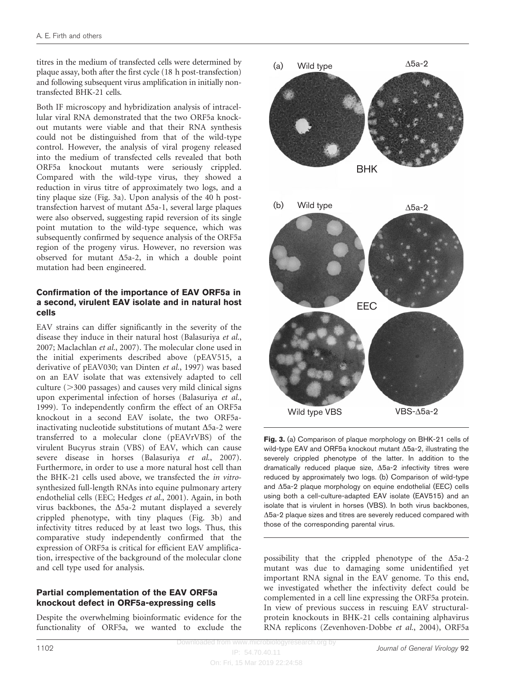titres in the medium of transfected cells were determined by plaque assay, both after the first cycle (18 h post-transfection) and following subsequent virus amplification in initially nontransfected BHK-21 cells.

Both IF microscopy and hybridization analysis of intracellular viral RNA demonstrated that the two ORF5a knockout mutants were viable and that their RNA synthesis could not be distinguished from that of the wild-type control. However, the analysis of viral progeny released into the medium of transfected cells revealed that both ORF5a knockout mutants were seriously crippled. Compared with the wild-type virus, they showed a reduction in virus titre of approximately two logs, and a tiny plaque size (Fig. 3a). Upon analysis of the 40 h posttransfection harvest of mutant  $\Delta$ 5a-1, several large plaques were also observed, suggesting rapid reversion of its single point mutation to the wild-type sequence, which was subsequently confirmed by sequence analysis of the ORF5a region of the progeny virus. However, no reversion was observed for mutant  $\Delta$ 5a-2, in which a double point mutation had been engineered.

#### Confirmation of the importance of EAV ORF5a in a second, virulent EAV isolate and in natural host cells

EAV strains can differ significantly in the severity of the disease they induce in their natural host ([Balasuriya](#page-8-0) et al., [2007](#page-8-0); [Maclachlan](#page-8-0) et al., 2007). The molecular clone used in the initial experiments described above (pEAV515, a derivative of pEAV030; [van Dinten](#page-9-0) et al., 1997) was based on an EAV isolate that was extensively adapted to cell culture  $(>300 \text{ passages})$  and causes very mild clinical signs upon experimental infection of horses [\(Balasuriya](#page-8-0) et al., [1999](#page-8-0)). To independently confirm the effect of an ORF5a knockout in a second EAV isolate, the two ORF5ainactivating nucleotide substitutions of mutant  $\Delta$ 5a-2 were transferred to a molecular clone (pEAVrVBS) of the virulent Bucyrus strain (VBS) of EAV, which can cause severe disease in horses ([Balasuriya](#page-8-0) et al., 2007). Furthermore, in order to use a more natural host cell than the BHK-21 cells used above, we transfected the in vitrosynthesized full-length RNAs into equine pulmonary artery endothelial cells (EEC; [Hedges](#page-8-0) et al., 2001). Again, in both virus backbones, the  $\Delta$ 5a-2 mutant displayed a severely crippled phenotype, with tiny plaques (Fig. 3b) and infectivity titres reduced by at least two logs. Thus, this comparative study independently confirmed that the expression of ORF5a is critical for efficient EAV amplification, irrespective of the background of the molecular clone and cell type used for analysis.

#### Partial complementation of the EAV ORF5a knockout defect in ORF5a-expressing cells

Despite the overwhelming bioinformatic evidence for the functionality of ORF5a, we wanted to exclude the



Fig. 3. (a) Comparison of plaque morphology on BHK-21 cells of wild-type EAV and ORF5a knockout mutant  $\Delta$ 5a-2, illustrating the severely crippled phenotype of the latter. In addition to the dramatically reduced plaque size,  $\Delta$ 5a-2 infectivity titres were reduced by approximately two logs. (b) Comparison of wild-type and  $\Delta$ 5a-2 plaque morphology on equine endothelial (EEC) cells using both a cell-culture-adapted EAV isolate (EAV515) and an isolate that is virulent in horses (VBS). In both virus backbones,  $\Delta$ 5a-2 plaque sizes and titres are severely reduced compared with those of the corresponding parental virus.

possibility that the crippled phenotype of the  $\Delta$ 5a-2 mutant was due to damaging some unidentified yet important RNA signal in the EAV genome. To this end, we investigated whether the infectivity defect could be complemented in a cell line expressing the ORF5a protein. In view of previous success in rescuing EAV structuralprotein knockouts in BHK-21 cells containing alphavirus RNA replicons [\(Zevenhoven-Dobbe](#page-9-0) et al., 2004), ORF5a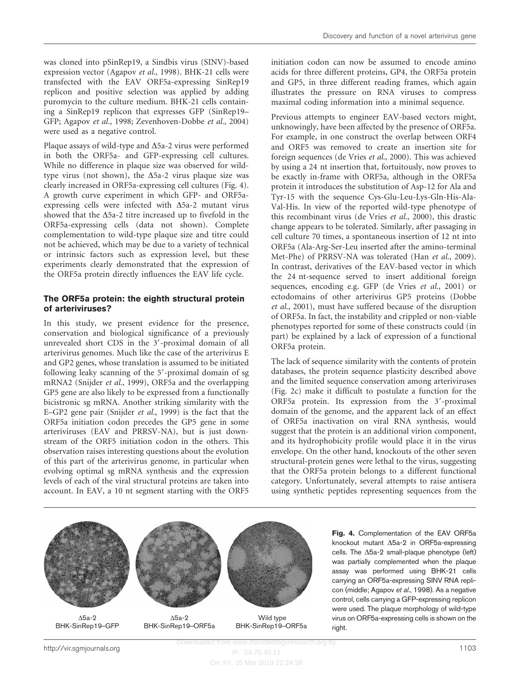was cloned into pSinRep19, a Sindbis virus (SINV)-based expression vector ([Agapov](#page-7-0) et al., 1998). BHK-21 cells were transfected with the EAV ORF5a-expressing SinRep19 replicon and positive selection was applied by adding puromycin to the culture medium. BHK-21 cells containing a SinRep19 replicon that expresses GFP (SinRep19– GFP; [Agapov](#page-7-0) et al., 1998; [Zevenhoven-Dobbe](#page-9-0) et al., 2004) were used as a negative control.

Plaque assays of wild-type and  $\Delta$ 5a-2 virus were performed in both the ORF5a- and GFP-expressing cell cultures. While no difference in plaque size was observed for wildtype virus (not shown), the  $\Delta$ 5a-2 virus plaque size was clearly increased in ORF5a-expressing cell cultures (Fig. 4). A growth curve experiment in which GFP- and ORF5aexpressing cells were infected with  $\Delta$ 5a-2 mutant virus showed that the  $\Delta$ 5a-2 titre increased up to fivefold in the ORF5a-expressing cells (data not shown). Complete complementation to wild-type plaque size and titre could not be achieved, which may be due to a variety of technical or intrinsic factors such as expression level, but these experiments clearly demonstrated that the expression of the ORF5a protein directly influences the EAV life cycle.

#### The ORF5a protein: the eighth structural protein of arteriviruses?

In this study, we present evidence for the presence, conservation and biological significance of a previously unrevealed short CDS in the 3'-proximal domain of all arterivirus genomes. Much like the case of the arterivirus E and GP2 genes, whose translation is assumed to be initiated following leaky scanning of the 5'-proximal domain of sg mRNA2 ([Snijder](#page-9-0) et al., 1999), ORF5a and the overlapping GP5 gene are also likely to be expressed from a functionally bicistronic sg mRNA. Another striking similarity with the E–GP2 gene pair ([Snijder](#page-9-0) et al., 1999) is the fact that the ORF5a initiation codon precedes the GP5 gene in some arteriviruses (EAV and PRRSV-NA), but is just downstream of the ORF5 initiation codon in the others. This observation raises interesting questions about the evolution of this part of the arterivirus genome, in particular when evolving optimal sg mRNA synthesis and the expression levels of each of the viral structural proteins are taken into account. In EAV, a 10 nt segment starting with the ORF5

initiation codon can now be assumed to encode amino acids for three different proteins, GP4, the ORF5a protein and GP5, in three different reading frames, which again illustrates the pressure on RNA viruses to compress maximal coding information into a minimal sequence.

Previous attempts to engineer EAV-based vectors might, unknowingly, have been affected by the presence of ORF5a. For example, in one construct the overlap between ORF4 and ORF5 was removed to create an insertion site for foreign sequences [\(de Vries](#page-8-0) et al., 2000). This was achieved by using a 24 nt insertion that, fortuitously, now proves to be exactly in-frame with ORF5a, although in the ORF5a protein it introduces the substitution of Asp-12 for Ala and Tyr-15 with the sequence Cys-Glu-Leu-Lys-Gln-His-Ala-Val-His. In view of the reported wild-type phenotype of this recombinant virus [\(de Vries](#page-8-0) et al., 2000), this drastic change appears to be tolerated. Similarly, after passaging in cell culture 70 times, a spontaneous insertion of 12 nt into ORF5a (Ala-Arg-Ser-Leu inserted after the amino-terminal Met-Phe) of PRRSV-NA was tolerated (Han et al.[, 2009\)](#page-8-0). In contrast, derivatives of the EAV-based vector in which the 24 nt-sequence served to insert additional foreign sequences, encoding e.g. GFP ([de Vries](#page-8-0) et al., 2001) or ectodomains of other arterivirus GP5 proteins [\(Dobbe](#page-8-0) et al.[, 2001](#page-8-0)), must have suffered because of the disruption of ORF5a. In fact, the instability and crippled or non-viable phenotypes reported for some of these constructs could (in part) be explained by a lack of expression of a functional ORF5a protein.

The lack of sequence similarity with the contents of protein databases, the protein sequence plasticity described above and the limited sequence conservation among arteriviruses ([Fig. 2c](#page-3-0)) make it difficult to postulate a function for the ORF5a protein. Its expression from the  $3'$ -proximal domain of the genome, and the apparent lack of an effect of ORF5a inactivation on viral RNA synthesis, would suggest that the protein is an additional virion component, and its hydrophobicity profile would place it in the virus envelope. On the other hand, knockouts of the other seven structural-protein genes were lethal to the virus, suggesting that the ORF5a protein belongs to a different functional category. Unfortunately, several attempts to raise antisera using synthetic peptides representing sequences from the





BHK-SinRep19-GFP BHK-SinRep19-ORF5a BHK-SinRep19-ORF5a

Fig. 4. Complementation of the EAV ORF5a knockout mutant  $\Delta$ 5a-2 in ORF5a-expressing cells. The  $\Delta$ 5a-2 small-plaque phenotype (left) was partially complemented when the plaque assay was performed using BHK-21 cells carrying an ORF5a-expressing SINV RNA replicon (middle; [Agapov](#page-7-0) et al., 1998). As a negative control, cells carrying a GFP-expressing replicon were used. The plaque morphology of wild-type virus on ORF5a-expressing cells is shown on the right.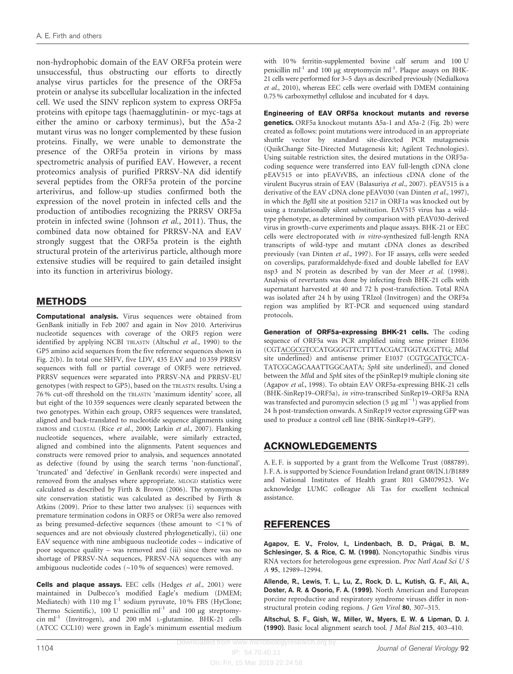<span id="page-7-0"></span>non-hydrophobic domain of the EAV ORF5a protein were unsuccessful, thus obstructing our efforts to directly analyse virus particles for the presence of the ORF5a protein or analyse its subcellular localization in the infected cell. We used the SINV replicon system to express ORF5a proteins with epitope tags (haemagglutinin- or myc-tags at either the amino or carboxy terminus), but the  $\Delta$ 5a-2 mutant virus was no longer complemented by these fusion proteins. Finally, we were unable to demonstrate the presence of the ORF5a protein in virions by mass spectrometric analysis of purified EAV. However, a recent proteomics analysis of purified PRRSV-NA did identify several peptides from the ORF5a protein of the porcine arterivirus, and follow-up studies confirmed both the expression of the novel protein in infected cells and the production of antibodies recognizing the PRRSV ORF5a protein in infected swine [\(Johnson](#page-8-0) et al., 2011). Thus, the combined data now obtained for PRRSV-NA and EAV strongly suggest that the ORF5a protein is the eighth structural protein of the arterivirus particle, although more extensive studies will be required to gain detailed insight into its function in arterivirus biology.

## METHODS

Computational analysis. Virus sequences were obtained from GenBank initially in Feb 2007 and again in Nov 2010. Arterivirus nucleotide sequences with coverage of the ORF5 region were identified by applying NCBI TBLASTN (Altschul et al., 1990) to the GP5 amino acid sequences from the five reference sequences shown in [Fig. 2\(b\)](#page-3-0). In total one SHFV, five LDV, 435 EAV and 10 359 PRRSV sequences with full or partial coverage of ORF5 were retrieved. PRRSV sequences were separated into PRRSV-NA and PRRSV-EU genotypes (with respect to GP5), based on the TBLASTN results. Using a 76 % cut-off threshold on the TBLASTN 'maximum identity' score, all but eight of the 10 359 sequences were cleanly separated between the two genotypes. Within each group, ORF5 sequences were translated, aligned and back-translated to nucleotide sequence alignments using EMBOSS and CLUSTAL (Rice et al.[, 2000; Larkin](#page-8-0) et al., 2007). Flanking nucleotide sequences, where available, were similarly extracted, aligned and combined into the alignments. Patent sequences and constructs were removed prior to analysis, and sequences annotated as defective (found by using the search terms 'non-functional', 'truncated' and 'defective' in GenBank records) were inspected and removed from the analyses where appropriate. MLOGD statistics were calculated as described by [Firth & Brown \(2006\)](#page-8-0). The synonymous site conservation statistic was calculated as described by [Firth &](#page-8-0) [Atkins \(2009\)](#page-8-0). Prior to these latter two analyses: (i) sequences with premature termination codons in ORF5 or ORF5a were also removed as being presumed-defective sequences (these amount to  $\leq$ 1% of sequences and are not obviously clustered phylogenetically), (ii) one EAV sequence with nine ambiguous nucleotide codes – indicative of poor sequence quality – was removed and (iii) since there was no shortage of PRRSV-NA sequences, PRRSV-NA sequences with any ambiguous nucleotide codes (~10 % of sequences) were removed.

Cells and plaque assays. EEC cells ([Hedges](#page-8-0) et al., 2001) were maintained in Dulbecco's modified Eagle's medium (DMEM; Mediatech) with 110 mg  $l^{-1}$  sodium pyruvate, 10% FBS (HyClone; Thermo Scientific), 100 U penicillin  $ml^{-1}$  and 100 µg streptomycin ml-1 (Invitrogen), and 200 mM L-glutamine. BHK-21 cells (ATCC CCL10) were grown in Eagle's minimum essential medium

with 10 % ferritin-supplemented bovine calf serum and 100 U penicillin ml<sup>-1</sup> and 100  $\mu$ g streptomycin ml<sup>-1</sup>. Plaque assays on BHK-21 cells were performed for 3–5 days as described previously [\(Nedialkova](#page-8-0) et al.[, 2010](#page-8-0)), whereas EEC cells were overlaid with DMEM containing 0.75 % carboxymethyl cellulose and incubated for 4 days.

Engineering of EAV ORF5a knockout mutants and reverse genetics. ORF5a knockout mutants  $\Delta$ 5a-1 and  $\Delta$ 5a-2 [\(Fig. 2b\)](#page-3-0) were created as follows: point mutations were introduced in an appropriate shuttle vector by standard site-directed PCR mutagenesis (QuikChange Site-Directed Mutagenesis kit; Agilent Technologies). Using suitable restriction sites, the desired mutations in the ORF5acoding sequence were transferred into EAV full-length cDNA clone pEAV515 or into pEAVrVBS, an infectious cDNA clone of the virulent Bucyrus strain of EAV [\(Balasuriya](#page-8-0) et al., 2007). pEAV515 is a derivative of the EAV cDNA clone pEAV030 ([van Dinten](#page-9-0) et al., 1997), in which the BglII site at position 5217 in ORF1a was knocked out by using a translationally silent substitution. EAV515 virus has a wildtype phenotype, as determined by comparison with pEAV030-derived virus in growth-curve experiments and plaque assays. BHK-21 or EEC cells were electroporated with in vitro-synthesized full-length RNA transcripts of wild-type and mutant cDNA clones as described previously ([van Dinten](#page-9-0) et al., 1997). For IF assays, cells were seeded on coverslips, paraformaldehyde-fixed and double labelled for EAV nsp3 and N protein as described by [van der Meer](#page-9-0) et al. (1998). Analysis of revertants was done by infecting fresh BHK-21 cells with supernatant harvested at 40 and 72 h post-transfection. Total RNA was isolated after 24 h by using TRIzol (Invitrogen) and the ORF5a region was amplified by RT-PCR and sequenced using standard protocols.

Generation of ORF5a-expressing BHK-21 cells. The coding sequence of ORF5a was PCR amplified using sense primer E1036 (CGTACGCGTCCATGGGGTTCTTTTACGACTGGTACGTTG; MluI site underlined) and antisense primer E1037 (CGTGCATGCTCA-TATCGCAGCAAATTGGCAATA; SphI site underlined), and cloned between the MluI and SphI sites of the pSinRep19 multiple cloning site (Agapov et al., 1998). To obtain EAV ORF5a-expressing BHK-21 cells (BHK-SinRep19–ORF5a), in vitro-transcribed SinRep19–ORF5a RNA was transfected and puromycin selection (5  $\mu$ g ml<sup>-1</sup>) was applied from 24 h post-transfection onwards. A SinRep19 vector expressing GFP was used to produce a control cell line (BHK-SinRep19–GFP).

## ACKNOWLEDGEMENTS

A. E. F. is supported by a grant from the Wellcome Trust (088789). J. F. A. is supported by Science Foundation Ireland grant 08/IN.1/B1889 and National Institutes of Health grant R01 GM079523. We acknowledge LUMC colleague Ali Tas for excellent technical assistance.

## REFERENCES

Agapov, E. V., Frolov, I., Lindenbach, B. D., Prágai, B. M., Schlesinger, S. & Rice, C. M. (1998). Noncytopathic Sindbis virus RNA vectors for heterologous gene expression. Proc Natl Acad Sci U S A 95, 12989–12994.

Allende, R., Lewis, T. L., Lu, Z., Rock, D. L., Kutish, G. F., Ali, A., Doster, A. R. & Osorio, F. A. (1999). North American and European porcine reproductive and respiratory syndrome viruses differ in nonstructural protein coding regions. J Gen Virol 80, 307–315.

Altschul, S. F., Gish, W., Miller, W., Myers, E. W. & Lipman, D. J. (1990). Basic local alignment search tool. J Mol Biol 215, 403–410.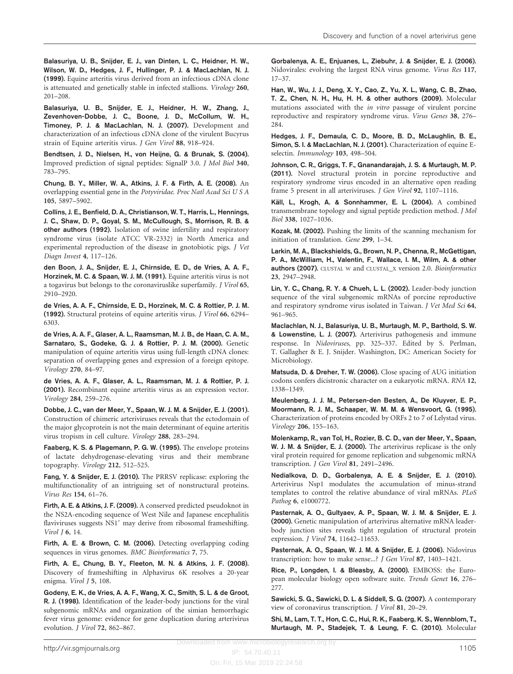<span id="page-8-0"></span>Balasuriya, U. B., Snijder, E. J., van Dinten, L. C., Heidner, H. W., Wilson, W. D., Hedges, J. F., Hullinger, P. J. & MacLachlan, N. J. (1999). Equine arteritis virus derived from an infectious cDNA clone is attenuated and genetically stable in infected stallions. Virology 260, 201–208.

Balasuriya, U. B., Snijder, E. J., Heidner, H. W., Zhang, J., Zevenhoven-Dobbe, J. C., Boone, J. D., McCollum, W. H., Timoney, P. J. & MacLachlan, N. J. (2007). Development and characterization of an infectious cDNA clone of the virulent Bucyrus strain of Equine arteritis virus. J Gen Virol 88, 918–924.

Bendtsen, J. D., Nielsen, H., von Heijne, G. & Brunak, S. (2004). Improved prediction of signal peptides: SignalP 3.0. J Mol Biol 340, 783–795.

Chung, B. Y., Miller, W. A., Atkins, J. F. & Firth, A. E. (2008). An overlapping essential gene in the Potyviridae. Proc Natl Acad Sci U S A 105, 5897–5902.

Collins, J. E., Benfield, D. A., Christianson, W. T., Harris, L., Hennings, J. C., Shaw, D. P., Goyal, S. M., McCullough, S., Morrison, R. B. & other authors (1992). Isolation of swine infertility and respiratory syndrome virus (isolate ATCC VR-2332) in North America and experimental reproduction of the disease in gnotobiotic pigs. J Vet Diagn Invest 4, 117–126.

den Boon, J. A., Snijder, E. J., Chirnside, E. D., de Vries, A. A. F., Horzinek, M. C. & Spaan, W. J. M. (1991). Equine arteritis virus is not a togavirus but belongs to the coronaviruslike superfamily. J Virol 65, 2910–2920.

de Vries, A. A. F., Chirnside, E. D., Horzinek, M. C. & Rottier, P. J. M. (1992). Structural proteins of equine arteritis virus. J Virol 66, 6294– 6303.

de Vries, A. A. F., Glaser, A. L., Raamsman, M. J. B., de Haan, C. A. M., Sarnataro, S., Godeke, G. J. & Rottier, P. J. M. (2000). Genetic manipulation of equine arteritis virus using full-length cDNA clones: separation of overlapping genes and expression of a foreign epitope. Virology 270, 84–97.

de Vries, A. A. F., Glaser, A. L., Raamsman, M. J. & Rottier, P. J. (2001). Recombinant equine arteritis virus as an expression vector. Virology 284, 259–276.

Dobbe, J. C., van der Meer, Y., Spaan, W. J. M. & Snijder, E. J. (2001). Construction of chimeric arteriviruses reveals that the ectodomain of the major glycoprotein is not the main determinant of equine arteritis virus tropism in cell culture. Virology 288, 283–294.

Faaberg, K. S. & Plagemann, P. G. W. (1995). The envelope proteins of lactate dehydrogenase-elevating virus and their membrane topography. Virology 212, 512–525.

Fang, Y. & Snijder, E. J. (2010). The PRRSV replicase: exploring the multifunctionality of an intriguing set of nonstructural proteins. Virus Res 154, 61–76.

Firth, A. E. & Atkins, J. F. (2009). A conserved predicted pseudoknot in the NS2A-encoding sequence of West Nile and Japanese encephalitis flaviviruses suggests NS1' may derive from ribosomal frameshifting. Virol J 6, 14.

Firth, A. E. & Brown, C. M. (2006). Detecting overlapping coding sequences in virus genomes. BMC Bioinformatics 7, 75.

Firth, A. E., Chung, B. Y., Fleeton, M. N. & Atkins, J. F. (2008). Discovery of frameshifting in Alphavirus 6K resolves a 20-year enigma. Virol J 5, 108.

Godeny, E. K., de Vries, A. A. F., Wang, X. C., Smith, S. L. & de Groot, R. J. (1998). Identification of the leader-body junctions for the viral subgenomic mRNAs and organization of the simian hemorrhagic fever virus genome: evidence for gene duplication during arterivirus evolution. J Virol 72, 862–867.

Gorbalenya, A. E., Enjuanes, L., Ziebuhr, J. & Snijder, E. J. (2006). Nidovirales: evolving the largest RNA virus genome. Virus Res 117, 17–37.

Han, W., Wu, J. J., Deng, X. Y., Cao, Z., Yu, X. L., Wang, C. B., Zhao, T. Z., Chen, N. H., Hu, H. H. & other authors (2009). Molecular mutations associated with the in vitro passage of virulent porcine reproductive and respiratory syndrome virus. Virus Genes 38, 276– 284.

Hedges, J. F., Demaula, C. D., Moore, B. D., McLaughlin, B. E., Simon, S. I. & MacLachlan, N. J. (2001). Characterization of equine Eselectin. Immunology 103, 498-504.

Johnson, C. R., Griggs, T. F., Gnanandarajah, J. S. & Murtaugh, M. P. (2011). Novel structural protein in porcine reproductive and respiratory syndrome virus encoded in an alternative open reading frame 5 present in all arteriviruses. J Gen Virol 92, 1107–1116.

Käll, L., Krogh, A. & Sonnhammer, E. L. (2004). A combined transmembrane topology and signal peptide prediction method. J Mol Biol 338, 1027–1036.

Kozak, M. (2002). Pushing the limits of the scanning mechanism for initiation of translation. Gene 299, 1–34.

Larkin, M. A., Blackshields, G., Brown, N. P., Chenna, R., McGettigan, P. A., McWilliam, H., Valentin, F., Wallace, I. M., Wilm, A. & other authors (2007). CLUSTAL W and CLUSTAL\_X version 2.0. Bioinformatics 23, 2947–2948.

Lin, Y. C., Chang, R. Y. & Chueh, L. L. (2002). Leader-body junction sequence of the viral subgenomic mRNAs of porcine reproductive and respiratory syndrome virus isolated in Taiwan. J Vet Med Sci 64, 961–965.

Maclachlan, N. J., Balasuriya, U. B., Murtaugh, M. P., Barthold, S. W. & Lowenstine, L. J. (2007). Arterivirus pathogenesis and immune response. In Nidoviruses, pp. 325–337. Edited by S. Perlman, T. Gallagher & E. J. Snijder. Washington, DC: American Society for Microbiology.

Matsuda, D. & Dreher, T. W. (2006). Close spacing of AUG initiation codons confers dicistronic character on a eukaryotic mRNA. RNA 12, 1338–1349.

Meulenberg, J. J. M., Petersen-den Besten, A., De Kluyver, E. P., Moormann, R. J. M., Schaaper, W. M. M. & Wensvoort, G. (1995). Characterization of proteins encoded by ORFs 2 to 7 of Lelystad virus. Virology 206, 155–163.

Molenkamp, R., van Tol, H., Rozier, B. C. D., van der Meer, Y., Spaan, W. J. M. & Snijder, E. J. (2000). The arterivirus replicase is the only viral protein required for genome replication and subgenomic mRNA transcription. J Gen Virol 81, 2491–2496.

Nedialkova, D. D., Gorbalenya, A. E. & Snijder, E. J. (2010). Arterivirus Nsp1 modulates the accumulation of minus-strand templates to control the relative abundance of viral mRNAs. PLoS Pathog 6, e1000772.

Pasternak, A. O., Gultyaev, A. P., Spaan, W. J. M. & Snijder, E. J. (2000). Genetic manipulation of arterivirus alternative mRNA leaderbody junction sites reveals tight regulation of structural protein expression. J Virol 74, 11642–11653.

Pasternak, A. O., Spaan, W. J. M. & Snijder, E. J. (2006). Nidovirus transcription: how to make sense...? J Gen Virol 87, 1403–1421.

Rice, P., Longden, I. & Bleasby, A. (2000). EMBOSS: the European molecular biology open software suite. Trends Genet 16, 276– 277.

Sawicki, S. G., Sawicki, D. L. & Siddell, S. G. (2007). A contemporary view of coronavirus transcription. J Virol 81, 20–29.

Shi, M., Lam, T. T., Hon, C. C., Hui, R. K., Faaberg, K. S., Wennblom, T., Murtaugh, M. P., Stadejek, T. & Leung, F. C. (2010). Molecular